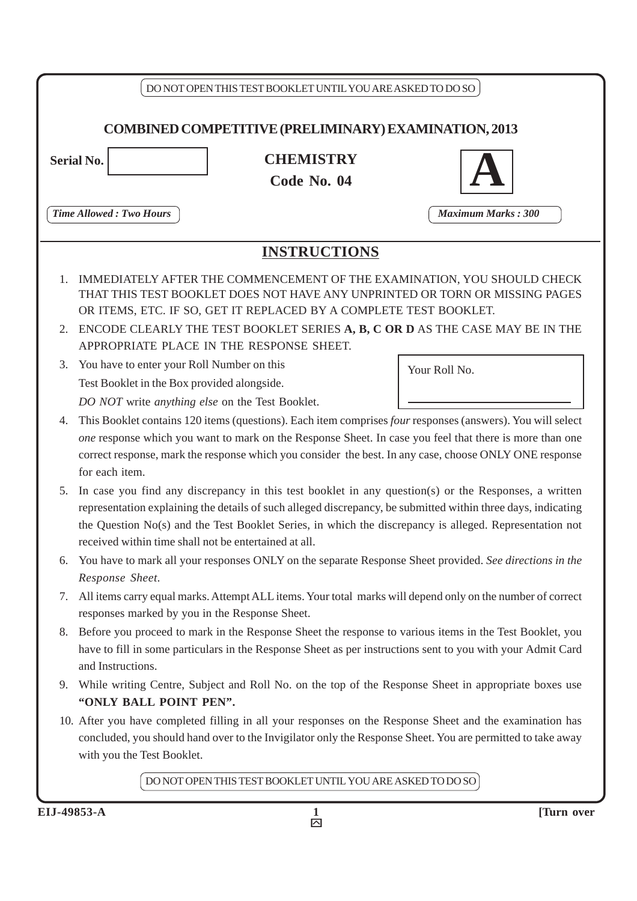| <b>Time Allowed: Two Hours</b><br><b>Maximum Marks: 300</b><br><b>INSTRUCTIONS</b><br>IMMEDIATELY AFTER THE COMMENCEMENT OF THE EXAMINATION, YOU SHOULD CHECK<br>1.<br>THAT THIS TEST BOOKLET DOES NOT HAVE ANY UNPRINTED OR TORN OR MISSING PAGES<br>OR ITEMS, ETC. IF SO, GET IT REPLACED BY A COMPLETE TEST BOOKLET.<br>ENCODE CLEARLY THE TEST BOOKLET SERIES A, B, C OR D AS THE CASE MAY BE IN THE<br>2.<br>APPROPRIATE PLACE IN THE RESPONSE SHEET.<br>You have to enter your Roll Number on this<br>3.<br>Your Roll No.<br>Test Booklet in the Box provided alongside.<br>DO NOT write anything else on the Test Booklet.<br>4.<br>for each item.<br>5.<br>received within time shall not be entertained at all.<br>6.<br>Response Sheet.<br>7.<br>responses marked by you in the Response Sheet.<br>8.<br>and Instructions.<br>9.<br>"ONLY BALL POINT PEN". |                                                                                                                                                                                                                                                                                                                                        |  |  |  |
|----------------------------------------------------------------------------------------------------------------------------------------------------------------------------------------------------------------------------------------------------------------------------------------------------------------------------------------------------------------------------------------------------------------------------------------------------------------------------------------------------------------------------------------------------------------------------------------------------------------------------------------------------------------------------------------------------------------------------------------------------------------------------------------------------------------------------------------------------------------------|----------------------------------------------------------------------------------------------------------------------------------------------------------------------------------------------------------------------------------------------------------------------------------------------------------------------------------------|--|--|--|
|                                                                                                                                                                                                                                                                                                                                                                                                                                                                                                                                                                                                                                                                                                                                                                                                                                                                      |                                                                                                                                                                                                                                                                                                                                        |  |  |  |
|                                                                                                                                                                                                                                                                                                                                                                                                                                                                                                                                                                                                                                                                                                                                                                                                                                                                      |                                                                                                                                                                                                                                                                                                                                        |  |  |  |
|                                                                                                                                                                                                                                                                                                                                                                                                                                                                                                                                                                                                                                                                                                                                                                                                                                                                      |                                                                                                                                                                                                                                                                                                                                        |  |  |  |
|                                                                                                                                                                                                                                                                                                                                                                                                                                                                                                                                                                                                                                                                                                                                                                                                                                                                      |                                                                                                                                                                                                                                                                                                                                        |  |  |  |
|                                                                                                                                                                                                                                                                                                                                                                                                                                                                                                                                                                                                                                                                                                                                                                                                                                                                      | This Booklet contains 120 items (questions). Each item comprises <i>four</i> responses (answers). You will select<br>one response which you want to mark on the Response Sheet. In case you feel that there is more than one<br>correct response, mark the response which you consider the best. In any case, choose ONLY ONE response |  |  |  |
|                                                                                                                                                                                                                                                                                                                                                                                                                                                                                                                                                                                                                                                                                                                                                                                                                                                                      | In case you find any discrepancy in this test booklet in any question(s) or the Responses, a written<br>representation explaining the details of such alleged discrepancy, be submitted within three days, indicating<br>the Question No(s) and the Test Booklet Series, in which the discrepancy is alleged. Representation not       |  |  |  |
|                                                                                                                                                                                                                                                                                                                                                                                                                                                                                                                                                                                                                                                                                                                                                                                                                                                                      | You have to mark all your responses ONLY on the separate Response Sheet provided. See directions in the                                                                                                                                                                                                                                |  |  |  |
|                                                                                                                                                                                                                                                                                                                                                                                                                                                                                                                                                                                                                                                                                                                                                                                                                                                                      | All items carry equal marks. Attempt ALL items. Your total marks will depend only on the number of correct                                                                                                                                                                                                                             |  |  |  |
|                                                                                                                                                                                                                                                                                                                                                                                                                                                                                                                                                                                                                                                                                                                                                                                                                                                                      | Before you proceed to mark in the Response Sheet the response to various items in the Test Booklet, you<br>have to fill in some particulars in the Response Sheet as per instructions sent to you with your Admit Card                                                                                                                 |  |  |  |
|                                                                                                                                                                                                                                                                                                                                                                                                                                                                                                                                                                                                                                                                                                                                                                                                                                                                      | While writing Centre, Subject and Roll No. on the top of the Response Sheet in appropriate boxes use                                                                                                                                                                                                                                   |  |  |  |
| 10. After you have completed filling in all your responses on the Response Sheet and the examination has<br>concluded, you should hand over to the Invigilator only the Response Sheet. You are permitted to take away<br>with you the Test Booklet.                                                                                                                                                                                                                                                                                                                                                                                                                                                                                                                                                                                                                 |                                                                                                                                                                                                                                                                                                                                        |  |  |  |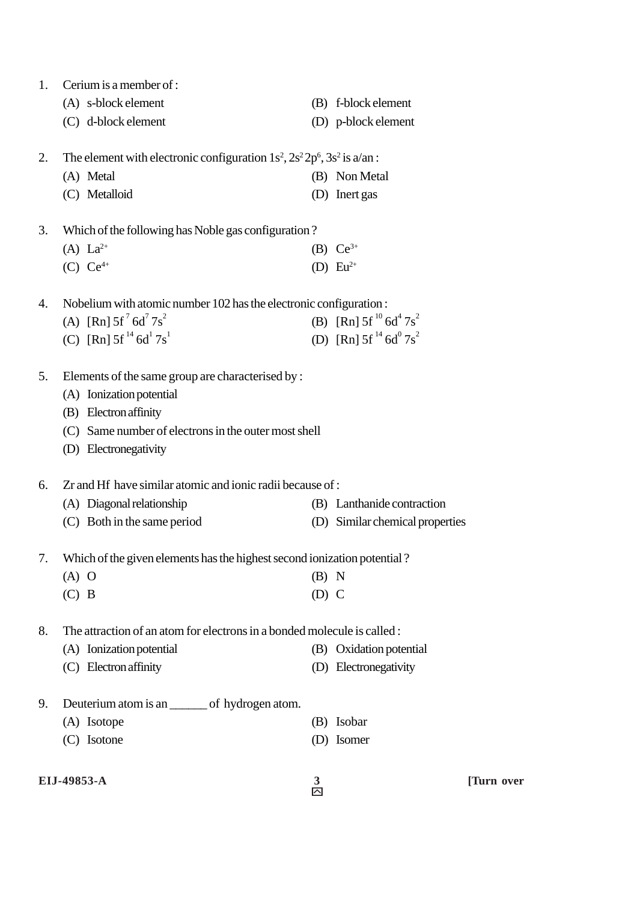| 1. | Cerium is a member of :                                                         |         |                                  |            |
|----|---------------------------------------------------------------------------------|---------|----------------------------------|------------|
|    | (A) s-block element                                                             |         | (B) f-block element              |            |
|    | (C) d-block element                                                             |         | (D) p-block element              |            |
| 2. | The element with electronic configuration $1s^2$ , $2s^22p^6$ , $3s^2$ is a/an: |         |                                  |            |
|    | (A) Metal                                                                       |         | (B) Non Metal                    |            |
|    | (C) Metalloid                                                                   |         | (D) Inert gas                    |            |
| 3. | Which of the following has Noble gas configuration?                             |         |                                  |            |
|    | (A) $La^{2+}$                                                                   |         | (B) $Ce^{3+}$                    |            |
|    | (C) $Ce^{4+}$                                                                   |         | (D) $Eu^{2+}$                    |            |
| 4. | Nobelium with atomic number 102 has the electronic configuration:               |         |                                  |            |
|    | (A) [Rn] $5f^7 6d^7 7s^2$                                                       |         | (B) [Rn] $5f^{10} 6d^4 7s^2$     |            |
|    | (C) [Rn] $5f^{14}$ 6d <sup>1</sup> $7s^{1}$                                     |         | (D) [Rn] $5f^{14} 6d^{0} 7s^{2}$ |            |
| 5. | Elements of the same group are characterised by :                               |         |                                  |            |
|    | (A) Ionization potential                                                        |         |                                  |            |
|    | (B) Electron affinity                                                           |         |                                  |            |
|    | (C) Same number of electrons in the outer most shell                            |         |                                  |            |
|    | (D) Electronegativity                                                           |         |                                  |            |
| 6. | Zr and Hf have similar atomic and ionic radii because of :                      |         |                                  |            |
|    | (A) Diagonal relationship                                                       |         | (B) Lanthanide contraction       |            |
|    | (C) Both in the same period                                                     |         | (D) Similar chemical properties  |            |
| 7. | Which of the given elements has the highest second ionization potential?        |         |                                  |            |
|    | $(A)$ O                                                                         | $(B)$ N |                                  |            |
|    | $(C)$ B                                                                         | $(D)$ C |                                  |            |
| 8. | The attraction of an atom for electrons in a bonded molecule is called :        |         |                                  |            |
|    | (A) Ionization potential                                                        |         | (B) Oxidation potential          |            |
|    | (C) Electron affinity                                                           |         | (D) Electronegativity            |            |
| 9. | Deuterium atom is an _______ of hydrogen atom.                                  |         |                                  |            |
|    | (A) Isotope                                                                     |         | (B) Isobar                       |            |
|    | (C) Isotone                                                                     |         | (D) Isomer                       |            |
|    | EIJ-49853-A                                                                     | 3       |                                  | [Turn over |
|    |                                                                                 | 囜       |                                  |            |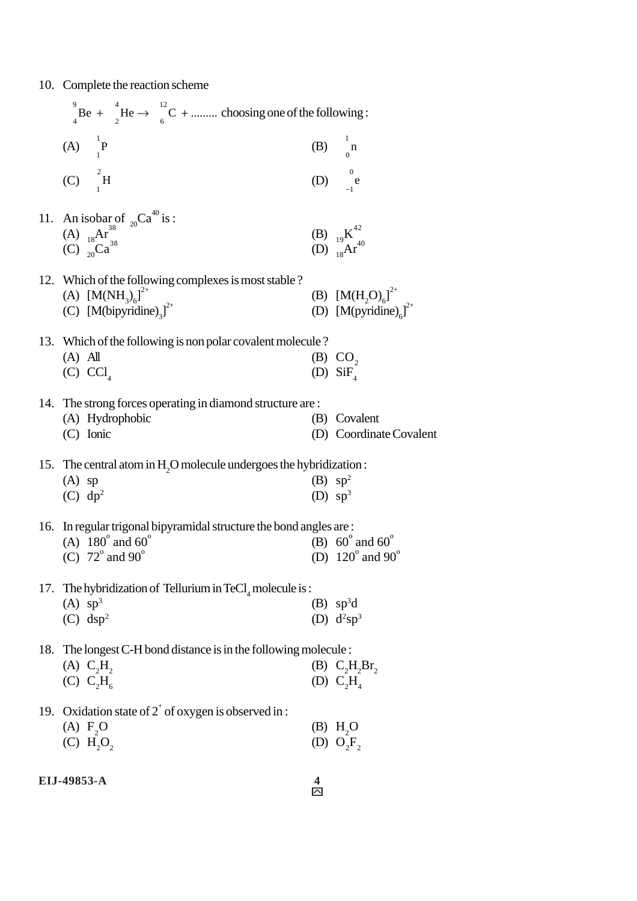10. Complete the reaction scheme

| ${}_{4}^{9}$ Be + ${}_{2}^{4}$ He $\rightarrow$ ${}_{6}^{12}$ C +  choosing one of the following :                               |                          |                                                                         |
|----------------------------------------------------------------------------------------------------------------------------------|--------------------------|-------------------------------------------------------------------------|
| (A) $\prod_{1}^{1} P$                                                                                                            |                          | $(B)$ n                                                                 |
| (C) $^{2}$ H                                                                                                                     |                          | (D) $\int_{-1}^{0} e$                                                   |
|                                                                                                                                  |                          |                                                                         |
| 11. An isobar of <sub>20</sub> Ca <sup>40</sup> is :<br>(A) <sub>18</sub> Ar <sup>38</sup><br>(C) <sub>20</sub> Ca <sup>38</sup> |                          | (B) ${}_{19}K^{42}$<br>(D) ${}_{18}Ar^{40}$                             |
| 12. Which of the following complexes is most stable?                                                                             |                          |                                                                         |
| (A) $[M(NH_3)_6]^{2+}$<br>(C) $[M(bipyridine)2]2+$                                                                               |                          | (B) $[M(H_2O)_6]^{2+}$<br>(D) $[M(pyridine)_6]^{2+}$                    |
| 13. Which of the following is non polar covalent molecule?                                                                       |                          |                                                                         |
| $(A)$ All<br>$(C)$ $CCl4$                                                                                                        |                          | (B) $CO2$<br>(D) $\overline{\text{SiF}_{4}}$                            |
| 14. The strong forces operating in diamond structure are :                                                                       |                          |                                                                         |
| (A) Hydrophobic<br>$(C)$ Ionic                                                                                                   |                          | (B) Covalent<br>(D) Coordinate Covalent                                 |
| 15. The central atom in H <sub>2</sub> O molecule undergoes the hybridization :                                                  |                          |                                                                         |
| $(A)$ sp<br>$(C)$ dp <sup>2</sup>                                                                                                | (B) $sp^2$<br>(D) $sp^3$ |                                                                         |
| 16. In regular trigonal bipyramidal structure the bond angles are:                                                               |                          |                                                                         |
| (A) $180^{\circ}$ and $60^{\circ}$<br>(C) $72^\circ$ and $90^\circ$                                                              |                          | (B) $60^{\circ}$ and $60^{\circ}$<br>(D) $120^{\circ}$ and $90^{\circ}$ |
| 17. The hybridization of Tellurium in $\text{TeCl}_4$ molecule is:                                                               |                          |                                                                         |
| $(A)$ sp <sup>3</sup><br>$(C)$ dsp <sup>2</sup>                                                                                  |                          | $(B)$ sp <sup>3</sup> d<br>(D) $d^2sp^3$                                |
| 18. The longest C-H bond distance is in the following molecule :                                                                 |                          |                                                                         |
| $(A)$ $C_2H_2$<br>$(C)$ $C_2H_6$                                                                                                 |                          | (B) $C_2H_2Br_2$<br>(D) $C_2H$                                          |
| 19. Oxidation state of $2^+$ of oxygen is observed in :                                                                          |                          |                                                                         |
| (A) F <sub>2</sub> O<br>(C) H <sub>2</sub> O <sub>2</sub>                                                                        |                          | $(B)$ H <sub>2</sub> O<br>(D) $O_2F_2$                                  |
|                                                                                                                                  |                          |                                                                         |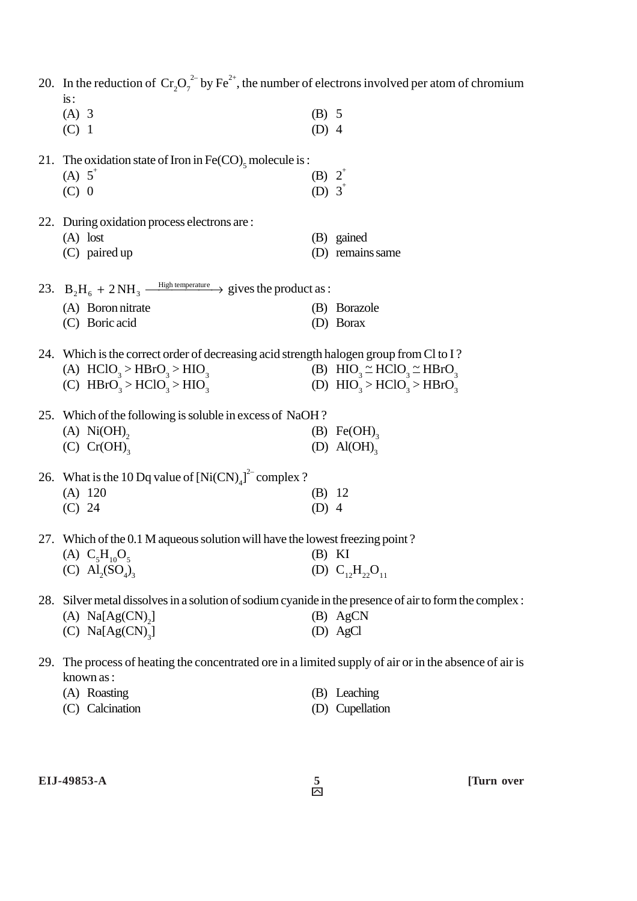|     | 20. In the reduction of $Cr_2O_7^{2}$ by Fe <sup>2+</sup> , the number of electrons involved per atom of chromium<br>is: |                   |                                         |
|-----|--------------------------------------------------------------------------------------------------------------------------|-------------------|-----------------------------------------|
|     | $(A)$ 3                                                                                                                  | $(B)$ 5           |                                         |
|     | $(C)$ 1                                                                                                                  | $(D)$ 4           |                                         |
|     | 21. The oxidation state of Iron in Fe(CO) <sub>5</sub> molecule is :                                                     |                   |                                         |
|     | (A) $5^{\circ}$                                                                                                          | (B) $2^{\degree}$ |                                         |
|     | $(C)$ 0                                                                                                                  | (D) $3^+$         |                                         |
|     | 22. During oxidation process electrons are :                                                                             |                   |                                         |
|     | $(A)$ lost                                                                                                               |                   | (B) gained                              |
|     | $(C)$ paired up                                                                                                          |                   | (D) remains same                        |
|     |                                                                                                                          |                   |                                         |
|     | 23. $B_2H_6 + 2NH_3 \xrightarrow{\text{High temperature}}$ gives the product as :                                        |                   |                                         |
|     | (A) Boron nitrate                                                                                                        |                   | (B) Borazole                            |
|     | (C) Boric acid                                                                                                           |                   | (D) Borax                               |
|     | 24. Which is the correct order of decreasing acid strength halogen group from Cl to I?                                   |                   |                                         |
|     | (A) $HClO3 > HBrO3 > HIO3$                                                                                               |                   | (B) $HIO_3 \simeq HClO_3 \simeq HBrO_3$ |
|     | (C) $HBrO_3 > HClO_3 > HIO_3$                                                                                            |                   | (D) $HIO_3 > HClO_3 > HBrO_3$           |
|     | 25. Which of the following is soluble in excess of NaOH?                                                                 |                   |                                         |
|     | $(A)$ Ni $(OH)$ ,                                                                                                        |                   | $(B) \text{Fe(OH)}_{3}$                 |
|     | (C) $Cr(OH)$ <sub>3</sub>                                                                                                |                   | (D) $\text{Al}(\text{OH})$ <sub>3</sub> |
|     | 26. What is the 10 Dq value of $[Ni(CN)4]2$ complex ?                                                                    |                   |                                         |
|     | $(A)$ 120                                                                                                                | (B) 12            |                                         |
|     | (C) 24                                                                                                                   | $(D)$ 4           |                                         |
|     | 27. Which of the 0.1 M aqueous solution will have the lowest freezing point?                                             |                   |                                         |
|     | (A) $C_5H_{10}O_5$                                                                                                       | (B) KI            |                                         |
|     | (C) $\text{Al}_{2}(SO_{4})_{3}$                                                                                          |                   | (D) $C_{12}H_{22}O_{11}$                |
| 28. | Silver metal dissolves in a solution of sodium cyanide in the presence of air to form the complex :                      |                   |                                         |
|     | (A) $Na[Ag(CN),]$                                                                                                        |                   | (B) AgCN                                |
|     | (C) $Na[Ag(CN)_3]$                                                                                                       |                   | (D) AgCl                                |
|     |                                                                                                                          |                   |                                         |

29. The process of heating the concentrated ore in a limited supply of air or in the absence of air is known as :

| (A) Roasting    | (B) Leaching    |
|-----------------|-----------------|
| (C) Calcination | (D) Cupellation |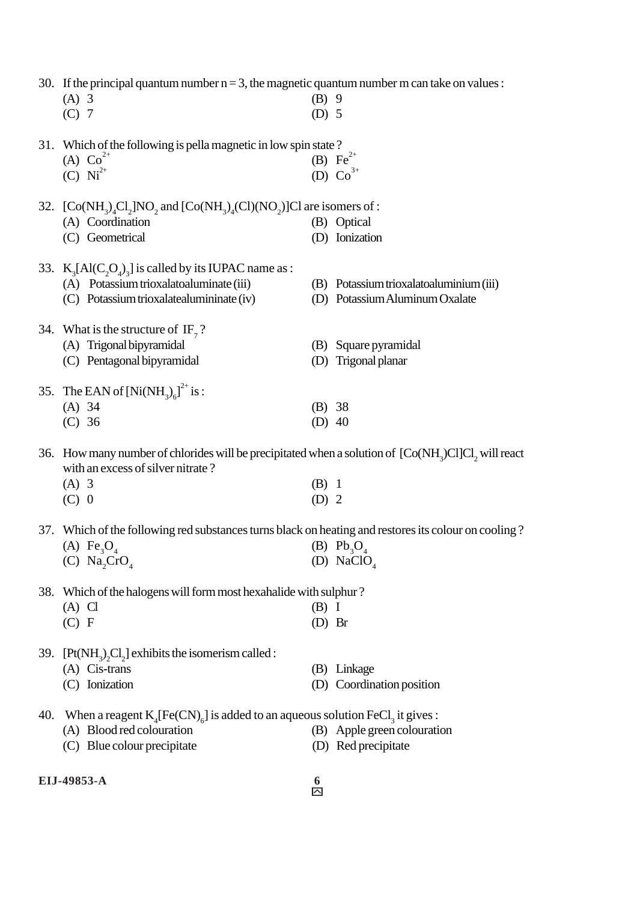|     | 30. If the principal quantum number $n = 3$ , the magnetic quantum number m can take on values:<br>$(A)$ 3                                                | $(B)$ 9  |                                         |  |  |
|-----|-----------------------------------------------------------------------------------------------------------------------------------------------------------|----------|-----------------------------------------|--|--|
|     | $(C)$ 7                                                                                                                                                   | $(D)$ 5  |                                         |  |  |
|     | 31. Which of the following is pella magnetic in low spin state?                                                                                           |          |                                         |  |  |
|     | (A) $Co^{2+}$                                                                                                                                             |          | (B) $Fe^{2+}$                           |  |  |
|     | (C) $Ni^{2+}$                                                                                                                                             |          | (D) $Co^{3+}$                           |  |  |
|     |                                                                                                                                                           |          |                                         |  |  |
|     | 32. [Co(NH <sub>2</sub> ) <sub>4</sub> Cl <sub>2</sub> ]NO <sub>2</sub> and [Co(NH <sub>3</sub> ) <sub>4</sub> (Cl)(NO <sub>2</sub> )]Cl are isomers of : |          |                                         |  |  |
|     | (A) Coordination                                                                                                                                          |          | (B) Optical                             |  |  |
|     | (C) Geometrical                                                                                                                                           |          | (D) Ionization                          |  |  |
|     | 33. $K_3[A(C_2O_4)_3]$ is called by its IUPAC name as :                                                                                                   |          |                                         |  |  |
|     | (A) Potassium trioxalatoaluminate (iii)                                                                                                                   |          | (B) Potassium trioxalatoaluminium (iii) |  |  |
|     | (C) Potassium trioxalatealumininate (iv)                                                                                                                  |          | (D) Potassium Aluminum Oxalate          |  |  |
|     | 34. What is the structure of $IF_{7}$ ?                                                                                                                   |          |                                         |  |  |
|     | (A) Trigonal bipyramidal                                                                                                                                  |          | (B) Square pyramidal                    |  |  |
|     | (C) Pentagonal bipyramidal                                                                                                                                |          | (D) Trigonal planar                     |  |  |
|     |                                                                                                                                                           |          |                                         |  |  |
|     | 35. The EAN of $[Ni(NH_3)_{6}]^{2+}$ is :                                                                                                                 |          |                                         |  |  |
|     | $(A)$ 34                                                                                                                                                  | (B) 38   |                                         |  |  |
|     | $(C)$ 36                                                                                                                                                  | $(D)$ 40 |                                         |  |  |
|     | 36. How many number of chlorides will be precipitated when a solution of $[Co(NH3)Cl]Cl2$ will react<br>with an excess of silver nitrate?                 |          |                                         |  |  |
|     | $(A)$ 3                                                                                                                                                   | $(B)$ 1  |                                         |  |  |
|     | $(C)$ 0                                                                                                                                                   | $(D)$ 2  |                                         |  |  |
|     | 37. Which of the following red substances turns black on heating and restores its colour on cooling?                                                      |          |                                         |  |  |
|     | (A) $\text{Fe}_3\text{O}_4$                                                                                                                               |          | (B) $Pb_3O_4$                           |  |  |
|     | (C) Na <sub>2</sub> CrO <sub>4</sub>                                                                                                                      |          | (D) NaClO <sub>4</sub>                  |  |  |
|     |                                                                                                                                                           |          |                                         |  |  |
| 38. | Which of the halogens will form most hexahalide with sulphur?                                                                                             |          |                                         |  |  |
|     | $(A)$ C                                                                                                                                                   | $(B)$ I  |                                         |  |  |
|     | (C) F                                                                                                                                                     | $(D)$ Br |                                         |  |  |
| 39. | $[Pt(NH3)2Cl2]$ exhibits the isomerism called :                                                                                                           |          |                                         |  |  |
|     | (A) Cis-trans                                                                                                                                             |          | (B) Linkage                             |  |  |
|     | (C) Ionization                                                                                                                                            |          | (D) Coordination position               |  |  |
| 40. | When a reagent $K_4[Fe(CN)_6]$ is added to an aqueous solution FeCl <sub>3</sub> it gives :                                                               |          |                                         |  |  |
|     | (A) Blood red colouration                                                                                                                                 |          | (B) Apple green colouration             |  |  |
|     | (C) Blue colour precipitate                                                                                                                               |          | (D) Red precipitate                     |  |  |
|     |                                                                                                                                                           |          |                                         |  |  |
|     | EIJ-49853-A                                                                                                                                               | 6        |                                         |  |  |

ů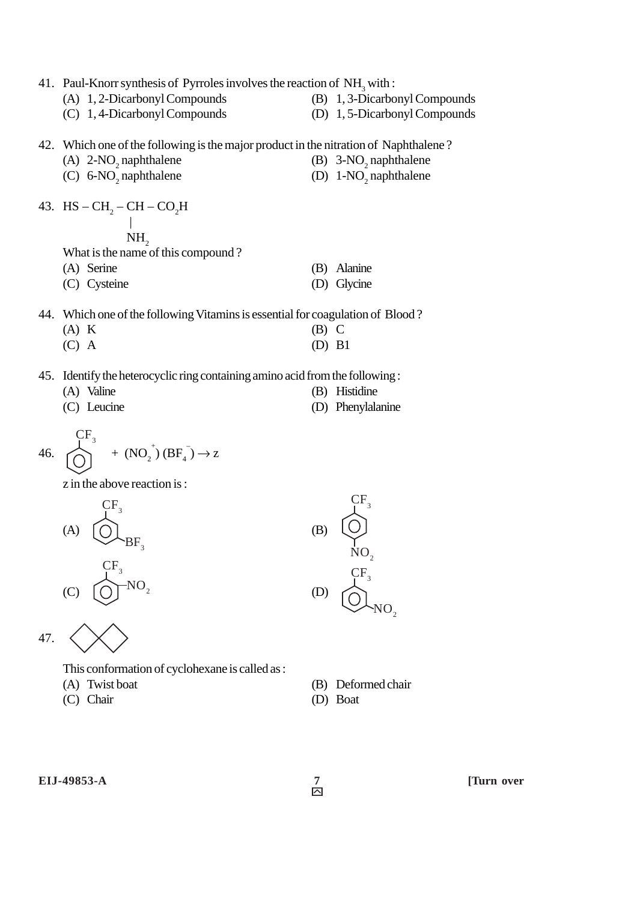41. Paul-Knorr synthesis of Pyrroles involves the reaction of  $NH<sub>3</sub>$  with:

- (A) 1, 2-Dicarbonyl Compounds (B) 1, 3-Dicarbonyl Compounds
	-
- 
- (C) 1, 4-Dicarbonyl Compounds (D) 1, 5-Dicarbonyl Compounds

42. Which one of the following is the major product in the nitration of Naphthalene ?

- (A)  $2\text{-}NO_2$  naphthalene (B)  $3\text{-}NO_2$  $(B)$  3-NO<sub>2</sub> naphthalene
- (C)  $6-\text{NO}_2$  naphthalene (D)  $1-\text{NO}_2$ (D)  $1-NO$ <sub>2</sub> naphthalene
- 43. HS  $CH_2$   $CH CO_2H$

|  $NH<sub>2</sub>$ 

What is the name of this compound ?

(A) Serine (B) Alanine

(C) Cysteine (D) Glycine

- 44. Which one of the following Vitamins is essential for coagulation of Blood ?
	- $(A) K$  (B) C  $(C)$  A  $(D)$  B1
- 
- 45. Identify the heterocyclic ring containing amino acid from the following : (A) Valine (B) Histidine
	- (C) Leucine (D) Phenylalanine
- 



z in the above reaction is :



This conformation of cyclohexane is called as :

- 
- (C) Chair (D) Boat

(A) Twist boat (B) Deformed chair

**EIJ-49853-A 7 ITurn over** 

 $\frac{7}{2}$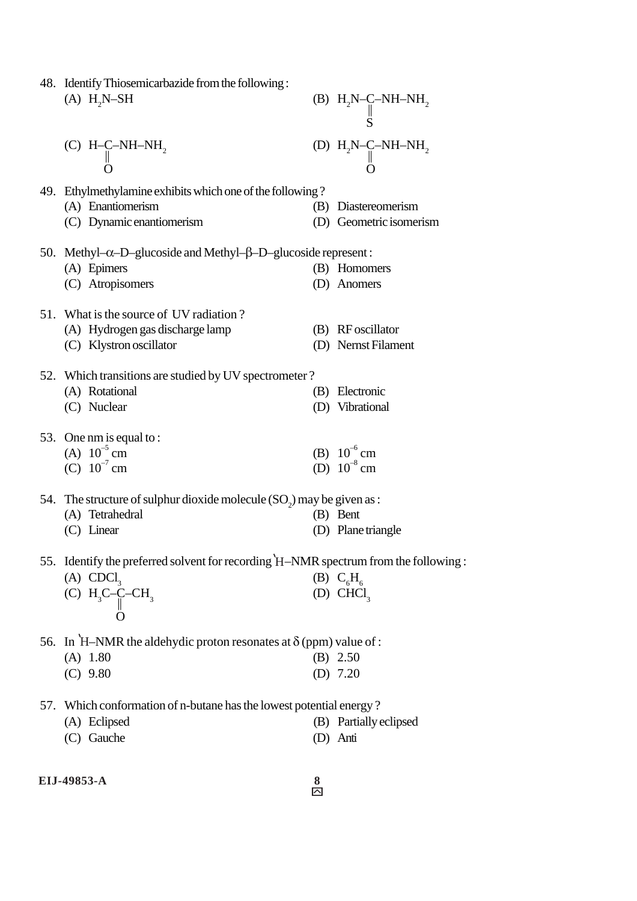| 48. Identify Thiosemicarbazide from the following:                                  |                                                                                           |
|-------------------------------------------------------------------------------------|-------------------------------------------------------------------------------------------|
| $(A) H2N-SH$                                                                        |                                                                                           |
|                                                                                     | (B) $H_2N-C-NH-NH_2$<br>S                                                                 |
| (C) H-C-NH-NH <sub>2</sub><br>0                                                     | (D) $\begin{array}{c} H_2N\!\!-\!\!C\!\!-\!\!NH\!\!-\!\!NH_2\\ \parallel\\ O \end{array}$ |
| 49. Ethylmethylamine exhibits which one of the following?                           |                                                                                           |
| (A) Enantiomerism                                                                   | (B) Diastereomerism                                                                       |
| (C) Dynamic enantiomerism                                                           | (D) Geometric isomerism                                                                   |
|                                                                                     |                                                                                           |
| 50. Methyl- $\alpha$ -D-glucoside and Methyl- $\beta$ -D-glucoside represent:       |                                                                                           |
| (A) Epimers                                                                         | (B) Homomers                                                                              |
| (C) Atropisomers                                                                    | (D) Anomers                                                                               |
| 51. What is the source of UV radiation?                                             |                                                                                           |
| (A) Hydrogen gas discharge lamp                                                     | (B) RF oscillator                                                                         |
| (C) Klystron oscillator                                                             | (D) Nernst Filament                                                                       |
|                                                                                     |                                                                                           |
| 52. Which transitions are studied by UV spectrometer?                               |                                                                                           |
| (A) Rotational                                                                      | (B) Electronic                                                                            |
| (C) Nuclear                                                                         | (D) Vibrational                                                                           |
| 53. One nm is equal to:                                                             |                                                                                           |
| (A) $10^{-5}$ cm                                                                    |                                                                                           |
| (C) $10^{-7}$ cm                                                                    | (B) $10^{-6}$ cm<br>(D) $10^{-8}$ cm                                                      |
|                                                                                     |                                                                                           |
| 54. The structure of sulphur dioxide molecule $(SO_2)$ may be given as :            |                                                                                           |
| (A) Tetrahedral                                                                     | (B) Bent                                                                                  |
| $(C)$ Linear                                                                        | (D) Plane triangle                                                                        |
| 55. Identify the preferred solvent for recording H-NMR spectrum from the following: |                                                                                           |
| (A) $CDCl3$                                                                         |                                                                                           |
|                                                                                     | (B) $C_6H_6$<br>(D) CHCl <sub>3</sub>                                                     |
| (C) $H_3C-C-CH_3$                                                                   |                                                                                           |
|                                                                                     |                                                                                           |
| 56. In H-NMR the aldehydic proton resonates at $\delta$ (ppm) value of :            |                                                                                           |
| $(A)$ 1.80                                                                          | $(B)$ 2.50                                                                                |
| $(C)$ 9.80                                                                          | (D) $7.20$                                                                                |
| 57. Which conformation of n-butane has the lowest potential energy?                 |                                                                                           |
| (A) Eclipsed                                                                        | (B) Partially eclipsed                                                                    |
| (C) Gauche                                                                          | (D) Anti                                                                                  |
|                                                                                     |                                                                                           |
|                                                                                     |                                                                                           |

**EIJ-49853-A 8**

 $\frac{8}{\Box}$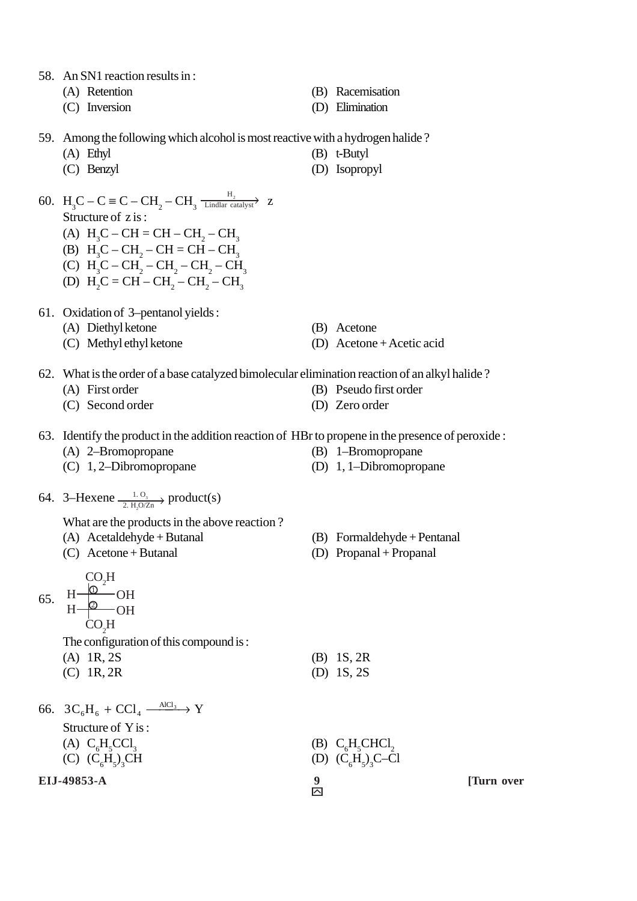- 58. An SN1 reaction results in :
	-
	-
	- (A) Retention (B) Racemisation
	- (C) Inversion (D) Elimination
- 59. Among the following which alcohol is most reactive with a hydrogen halide ?
	- (A) Ethyl (B) t-Butyl
	- (C) Benzyl (D) Isopropyl
- 
- 60.  $H_3C C \equiv C CH_2 CH_3 \frac{H_2}{\text{Lindlar catalyst}}$  z Lindlar catalyst

Structure of z is :

- (A)  $H_3C CH = CH CH_2 CH_3$
- (B)  $H_3C CH_2 CH = CH CH_3$
- (C)  $H_3C CH_2 CH_2 CH_2 CH_3$
- (D)  $H_2C = CH CH_2 CH_2 CH_3$
- 61. Oxidation of 3–pentanol yields :
	- (A) Diethyl ketone (B) Acetone
	-
- 
- (C) Methyl ethyl ketone (D) Acetone + Acetic acid
- 62. What is the order of a base catalyzed bimolecular elimination reaction of an alkyl halide ?
	- (A) First order (B) Pseudo first order
	- (C) Second order (D) Zero order
		-
- 63. Identify the product in the addition reaction of HBr to propene in the presence of peroxide :
	- (A) 2–Bromopropane (B) 1–Bromopropane
	- (C) 1, 2–Dibromopropane (D) 1, 1–Dibromopropane
- 64. 3–Hexene  $\frac{1.0}{2.007n}$  product(s) 2.  $H_2O/Zn$ 
	- What are the products in the above reaction ?
	- (A) Acetaldehyde + Butanal (B) Formaldehyde + Pentanal
	- (C) Acetone + Butanal (D) Propanal + Propanal

$$
\begin{array}{c}\n\text{CO}_H \\
\text{65.} & \text{H} - \text{O} \\
\text{H} - \text{O} - \text{OH} \\
\end{array}
$$

$$
H \frac{\omega}{CQ_2H}OH
$$

The configuration of this compound is :

- (A) 1R, 2S (B) 1S, 2R
- (C) 1R, 2R (D) 1S, 2S
- **EIJ-49853-A 9** [Turn over 66.  $3C_6H_6 + CCl_4 \xrightarrow{\text{AlCl}_3} Y$ Structure of Y is : (A)  $C_6H_5$  $\text{CCl}_3$  (B)  $\text{C}_6\text{H}_5\text{CHCl}_2$ (C)  $(C_6H_5)_3$ CH (D)  $(C_6H_5)_3C-C1$

 $\overline{\mathsf{M}}$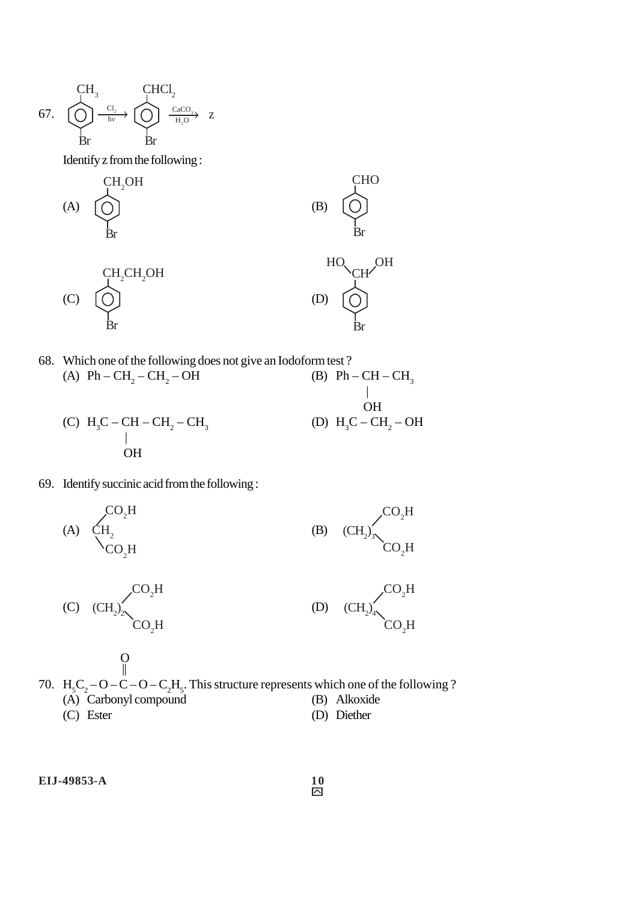$$
\begin{array}{ccc}\n & \text{CH} & \text{CHCl}_2 \\
\hline\n67. & \bigodot & \xrightarrow{\text{Cl}_2} & \bigodot & \xrightarrow{\text{CaCO}_1} & \text{Z} \\
\text{Br} & & \text{Br} & & \text{Br}\n\end{array}
$$

Identify z from the following :

(A)

\n
$$
\begin{array}{c}\n\text{CH}_2\text{OH} \\
\text{Br}\n\end{array}
$$
\n(B)

\n
$$
\begin{array}{c}\n\text{CHO} \\
\text{Br}\n\end{array}
$$
\n(C)

\n
$$
\begin{array}{c}\n\text{CH}_2\text{CH}_2\text{OH} \\
\text{Br}\n\end{array}
$$
\n(D)

\n
$$
\begin{array}{c}\n\text{CH}_2\text{CH}_2\text{OH} \\
\text{Br}\n\end{array}
$$

68. Which one of the following does not give an Iodoform test?  
\n(A) Ph – CH<sub>2</sub> – CH<sub>2</sub> – OH  
\n(B) Ph – CH – CH<sub>3</sub>  
\n
$$
\begin{array}{c}\n\text{(A)} \quad \text{(B)} \quad \text{(B)} \quad \text{(C)} \quad \text{(D)} \quad \text{(E)} \quad \text{(D)} \quad \text{(E)} \quad \text{(E)} \quad \text{(E)} \quad \text{(E)} \quad \text{(E)} \quad \text{(E)} \quad \text{(E)} \quad \text{(E)} \quad \text{(E)} \quad \text{(E)} \quad \text{(E)} \quad \text{(E)} \quad \text{(E)} \quad \text{(E)} \quad \text{(E)} \quad \text{(E)} \quad \text{(E)} \quad \text{(E)} \quad \text{(E)} \quad \text{(E)} \quad \text{(E)} \quad \text{(E)} \quad \text{(E)} \quad \text{(E)} \quad \text{(E)} \quad \text{(E)} \quad \text{(E)} \quad \text{(E)} \quad \text{(E)} \quad \text{(E)} \quad \text{(E)} \quad \text{(E)} \quad \text{(E)} \quad \text{(E)} \quad \text{(E)} \quad \text{(E)} \quad \text{(E)} \quad \text{(E)} \quad \text{(E)} \quad \text{(E)} \quad \text{(E)} \quad \text{(E)} \quad \text{(E)} \quad \text{(E)} \quad \text{(E)} \quad \text{(E)} \quad \text{(E)} \quad \text{(E)} \quad \text{(E)} \quad \text{(E)} \quad \text{(E)} \quad \text{(E)} \quad \text{(E)} \quad \text{(E)} \quad \text{(E)} \quad \text{(E)} \quad \text{(E)} \quad \text{(E)} \quad \text{(E)} \quad \text{(E)} \quad \text{(E)} \quad \text{(E)} \quad \text{(E)} \quad \text{(E)} \quad \text{(E)} \quad \text{(E)} \quad \text{(E)} \quad \text{(E)} \quad \text{(E)} \quad \text{(E)} \quad \text{(E)} \quad \text{(E)} \quad \text{(E)} \quad \text{(E)} \quad \text{(E)} \quad \text{(E)} \quad \text{(E)} \quad \text{(E)} \quad \text{(E)} \quad \text{(E)} \quad \text{(E)} \quad \text{(E)} \quad \text{(E)} \quad \text{(E)} \quad \text{(E)} \quad \text{(E)} \quad \text{(E)} \quad \text{(E)} \quad \text{(E)} \quad \text{(E)} \quad \text{(E)} \quad \text
$$

69. Identify succinic acid from the following :

O

(A) 
$$
\text{CH}_{2}
$$
  
\n $\text{CO}_{2}H$   
\n $\text{CO}_{2}H$   
\n(B)  $\text{CH}_{2})_{3}$   
\n $\text{CO}_{2}H$   
\n $\text{CO}_{2}H$ 

(C) 
$$
(CH_2)_2
$$
CO<sub>2</sub>H  
CO<sub>2</sub>H  
CO<sub>2</sub>H  
CO<sub>2</sub>H  
CO<sub>2</sub>H  
CO<sub>2</sub>H

70. 
$$
H_5C_2-O-C-O-C_2H_5
$$
. This structure represents which one of the following?  
\n(A) Carbonyl compound  
\n(C) Ester  
\n(B) Alkoxide  
\n(D) Diether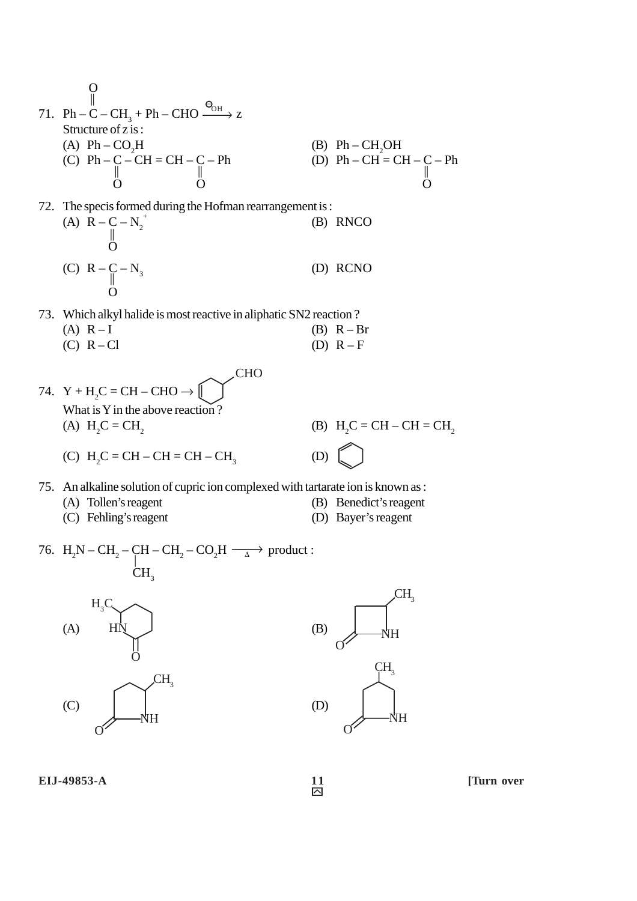O || 71. Ph – C – CH3 + Ph – CHO z Structure of z is : (A) Ph – CO2 H (B) Ph – CH2 OH (C) Ph – C – CH = CH – C – Ph (D) Ph – CH = CH – C – Ph || || || OO O 72. The specis formed during the Hofman rearrangement is : (A) R – C – N2 <sup>+</sup> (B) RNCO || O (C) R – C – N3 (D) RCNO || O 73. Which alkyl halide is most reactive in aliphatic SN2 reaction ? (A) R – I (B) R – Br (C) R – Cl (D) R – F 74. Y + H2 C = CH – CHO → What is Y in the above reaction ? (A) H2 C = CH2 (B) H2 C = CH – CH = CH2 (C) H2 C = CH – CH = CH – CH3 (D) 75. An alkaline solution of cupric ion complexed with tartarate ion is known as : (A) Tollen's reagent (B) Benedict's reagent (C) Fehling's reagent (D) Bayer's reagent 76. H2 N – CH2 – CH – CH2 – CO2 <sup>H</sup>∆→ product : <sup>|</sup> CH3 → OH – CH3 CHO

 $(A)$  HN  $\bigcup$  (B)  $(C)$  (D)  $H<sub>N</sub>$ ö  $H<sub>3</sub>C$  $\sigma$ NH O  $\overline{\mathcal{L}}H_3$  $\sigma$ CH<sub>3</sub>



**EIJ-49853-A** 11 [Turn over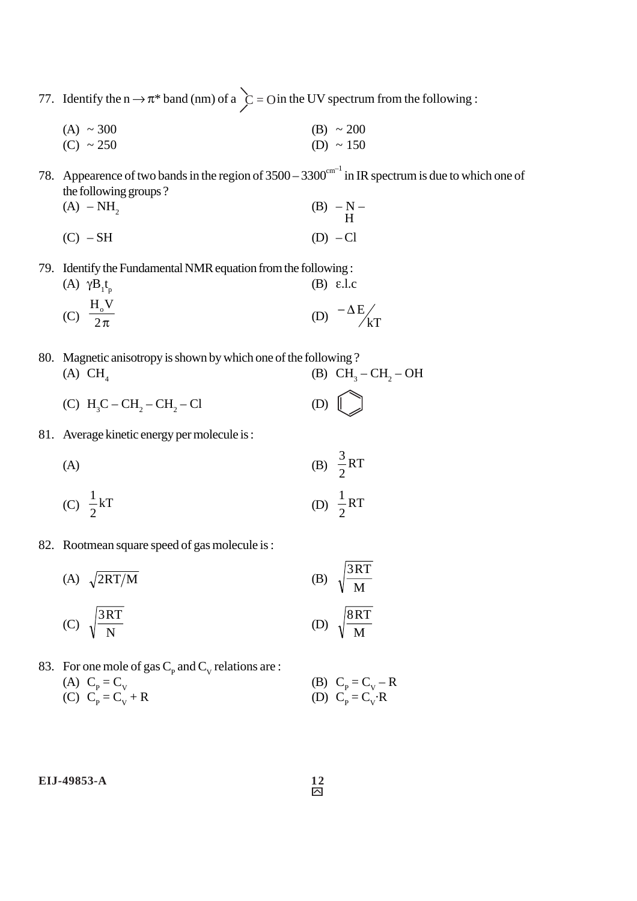77. Identify the  $n \rightarrow \pi^*$  band (nm) of a  $\dot{C} = O$  in the UV spectrum from the following :

(A)  $\sim 300$  (B)  $\sim 200$ (C)  $\sim 250$  (D)  $\sim 150$ 

78. Appearence of two bands in the region of  $3500 - 3300^{\text{cm}^{-1}}$  in IR spectrum is due to which one of the following groups ?

(A) – NH<sub>2</sub> (B) – N – H  $(C)$  – SH (D) – Cl

79. Identify the Fundamental NMR equation from the following :

- (A)  $γB_1t$ (B) ε.l.c (C)  $\frac{0}{2\pi}$  $_{\rm H_o}$ V (D)  $-\Delta E / \sqrt{kT}$
- 80. Magnetic anisotropy is shown by which one of the following ? (A)  $CH_4$  (B)  $CH_3-CH_2-OH$

(C) 
$$
H_3C - CH_2 - CH_2 - C1
$$
 (D)

81. Average kinetic energy per molecule is :

(A)   
\n(B) 
$$
\frac{3}{2}RT
$$
  
\n(C)  $\frac{1}{2}kT$   
\n(D)  $\frac{1}{2}RT$ 

82. Rootmean square speed of gas molecule is :

(A)  $\sqrt{2RT/M}$  (B)  $\sqrt{\frac{2RT}{M}}$ 3RT (C)  $\sqrt{\frac{M}{N}}$ 3RT (D)  $\sqrt{\frac{H}{M}}$ 8RT

83. For one mole of gas  $C_p$  and  $C_v$  relations are : (A)  $C_p = C_v$  (B)  $C_p$ (C)  $C_p = C_v + R$  (D)  $C_p$ 

 $= C_{V} - R$  $= C_V \cdot R$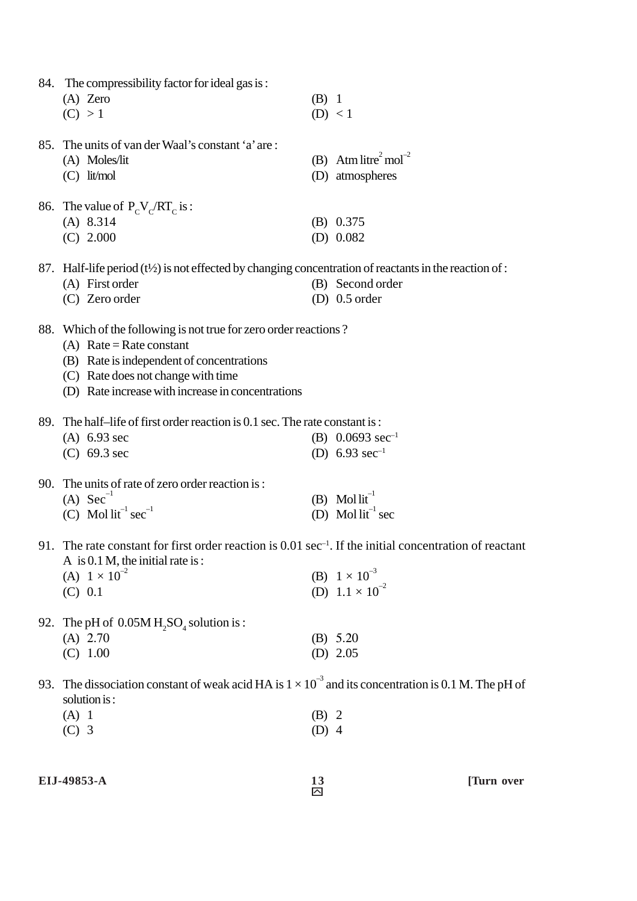|     | 84. The compressibility factor for ideal gas is:                                                                     |         |                                              |
|-----|----------------------------------------------------------------------------------------------------------------------|---------|----------------------------------------------|
|     | $(A)$ Zero                                                                                                           | $(B)$ 1 |                                              |
|     | (C) > 1                                                                                                              |         | (D) < 1                                      |
|     |                                                                                                                      |         |                                              |
|     | 85. The units of van der Waal's constant 'a' are:                                                                    |         |                                              |
|     | (A) Moles/lit                                                                                                        |         | (B) Atm litre <sup>2</sup> mol <sup>-2</sup> |
|     | $(C)$ lit/mol                                                                                                        |         | (D) atmospheres                              |
|     | 86. The value of $P_cV_c/RT_c$ is :                                                                                  |         |                                              |
|     | $(A)$ 8.314                                                                                                          |         | $(B)$ 0.375                                  |
|     | $(C)$ 2.000                                                                                                          |         | (D) $0.082$                                  |
|     |                                                                                                                      |         |                                              |
|     | 87. Half-life period $(t\frac{1}{2})$ is not effected by changing concentration of reactants in the reaction of :    |         |                                              |
|     | (A) First order                                                                                                      |         | (B) Second order                             |
|     | (C) Zero order                                                                                                       |         | $(D)$ 0.5 order                              |
|     |                                                                                                                      |         |                                              |
|     | 88. Which of the following is not true for zero order reactions?                                                     |         |                                              |
|     | (A) Rate = Rate constant                                                                                             |         |                                              |
|     | (B) Rate is independent of concentrations                                                                            |         |                                              |
|     | (C) Rate does not change with time                                                                                   |         |                                              |
|     | (D) Rate increase with increase in concentrations                                                                    |         |                                              |
|     |                                                                                                                      |         |                                              |
|     | 89. The half-life of first order reaction is 0.1 sec. The rate constant is:                                          |         |                                              |
|     | $(A)$ 6.93 sec                                                                                                       |         | (B) $0.0693 \text{ sec}^{-1}$                |
|     | $(C)$ 69.3 sec                                                                                                       |         | (D) $6.93 \text{ sec}^{-1}$                  |
| 90. | The units of rate of zero order reaction is:                                                                         |         |                                              |
|     | (A) $Sec^{-1}$                                                                                                       |         | (B) Mol $lit^{-1}$                           |
|     | (C) Mol $lit^{-1} sec^{-1}$                                                                                          |         | (D) Mol $lit^{-1}$ sec                       |
|     |                                                                                                                      |         |                                              |
|     | 91. The rate constant for first order reaction is $0.01 \text{ sec}^{-1}$ . If the initial concentration of reactant |         |                                              |
|     | A is $0.1$ M, the initial rate is:                                                                                   |         |                                              |
|     | (A) $1 \times 10^{-2}$                                                                                               |         | (B) $1 \times 10^{-3}$                       |
|     | (C) 0.1                                                                                                              |         | (D) $1.1 \times 10^{-2}$                     |
|     |                                                                                                                      |         |                                              |
|     | 92. The pH of $0.05M H_2SO_4$ solution is :                                                                          |         |                                              |
|     | $(A)$ 2.70                                                                                                           |         | (B) 5.20                                     |
|     | (C) 1.00                                                                                                             |         | (D) $2.05$                                   |
|     |                                                                                                                      |         |                                              |
|     | 93. The dissociation constant of weak acid HA is $1 \times 10^{-3}$ and its concentration is 0.1 M. The pH of        |         |                                              |
|     | solution is:                                                                                                         |         |                                              |
|     | $(A)$ 1                                                                                                              | $(B)$ 2 |                                              |
|     | $(C)$ 3                                                                                                              | $(D)$ 4 |                                              |
|     |                                                                                                                      |         |                                              |
|     |                                                                                                                      |         |                                              |

**EIJ-49853-A** 13 [Turn over

 $\frac{13}{\Box}$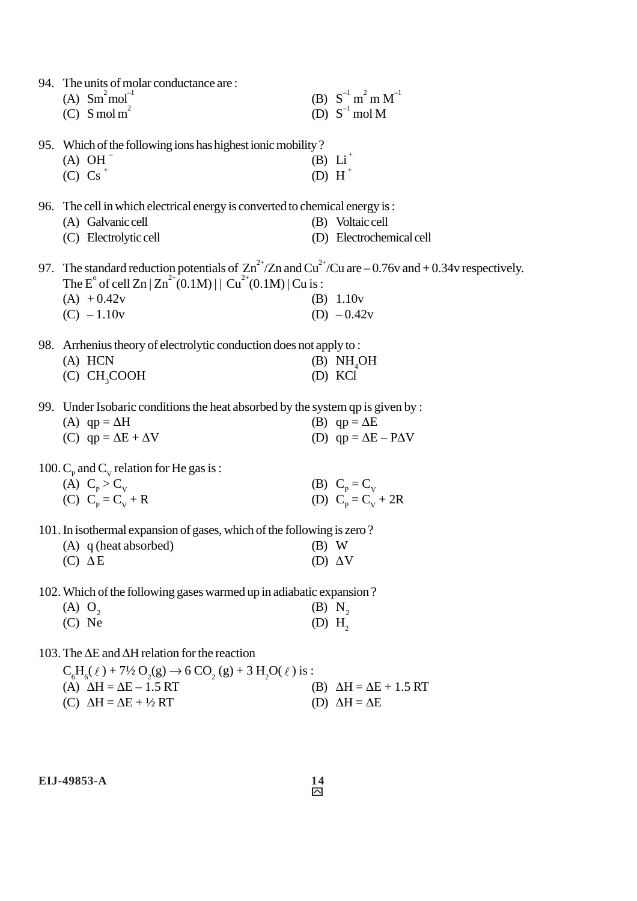| 94. The units of molar conductance are:<br>(A) $Sm^{2} mol^{-1}$<br>(C) S mol m <sup>2</sup>                                                                                                                                                                                 |                      | (B) $S^{-1} m^2 m M^{-1}$<br>(D) $S^{-1}$ mol M             |
|------------------------------------------------------------------------------------------------------------------------------------------------------------------------------------------------------------------------------------------------------------------------------|----------------------|-------------------------------------------------------------|
| 95. Which of the following ions has highest ionic mobility?<br>$(A)$ OH $^-$<br>$(C) Cs^+$                                                                                                                                                                                   |                      | (B) $Li^+$<br>(D) H <sup>+</sup>                            |
| 96. The cell in which electrical energy is converted to chemical energy is:<br>(A) Galvanic cell<br>(C) Electrolytic cell                                                                                                                                                    |                      | (B) Voltaic cell<br>(D) Electrochemical cell                |
| 97. The standard reduction potentials of $\text{Zn}^{2+}/\text{Zn}$ and $\text{Cu}^{2+}/\text{Cu}$ are $-0.76v$ and $+0.34v$ respectively.<br>The E <sup>o</sup> of cell Zn   Zn <sup>2+</sup> (0.1M)     Cu <sup>2+</sup> (0.1M)   Cu is :<br>$(A) + 0.42v$<br>$(C) -1.10v$ |                      | (B) 1.10v<br>(D) $-0.42v$                                   |
| 98. Arrhenius theory of electrolytic conduction does not apply to:<br>$(A)$ HCN<br>(C) CH <sub>3</sub> COOH                                                                                                                                                                  |                      | (B) NH <sub>a</sub> OH<br>(D) KCl                           |
| 99. Under Isobaric conditions the heat absorbed by the system qp is given by :<br>(A) $qp = \Delta H$<br>(C) $qp = \Delta E + \Delta V$                                                                                                                                      |                      | (B) $qp = \Delta E$<br>(D) $qp = \Delta E - P\Delta V$      |
| 100. $C_p$ and $C_v$ relation for He gas is :<br>(A) $C_p > C_v$<br>(C) $C_p = C_v + R$                                                                                                                                                                                      |                      | (B) $C_p = C_v$<br>(D) $C_p = C_v + 2R$                     |
| 101. In isothermal expansion of gases, which of the following is zero?<br>(A) q (heat absorbed)<br>$(C) \Delta E$                                                                                                                                                            | $(B)$ W              | (D) $\Delta V$                                              |
| 102. Which of the following gases warmed up in adiabatic expansion?<br>$(A)$ $O_2$<br>$(C)$ Ne                                                                                                                                                                               | $(D)$ H <sub>2</sub> | $(B)$ N <sub>2</sub>                                        |
| 103. The $\Delta E$ and $\Delta H$ relation for the reaction<br>$C_6H_6(\ell) + 7\frac{1}{2}O_2(g) \rightarrow 6 CO_2(g) + 3 H_2O(\ell)$ is :<br>(A) $\Delta H = \Delta E - 1.5 RT$<br>(C) $\Delta H = \Delta E + \frac{1}{2}RT$                                             | (B)                  | $\Delta H = \Delta E + 1.5 RT$<br>(D) $\Delta H = \Delta E$ |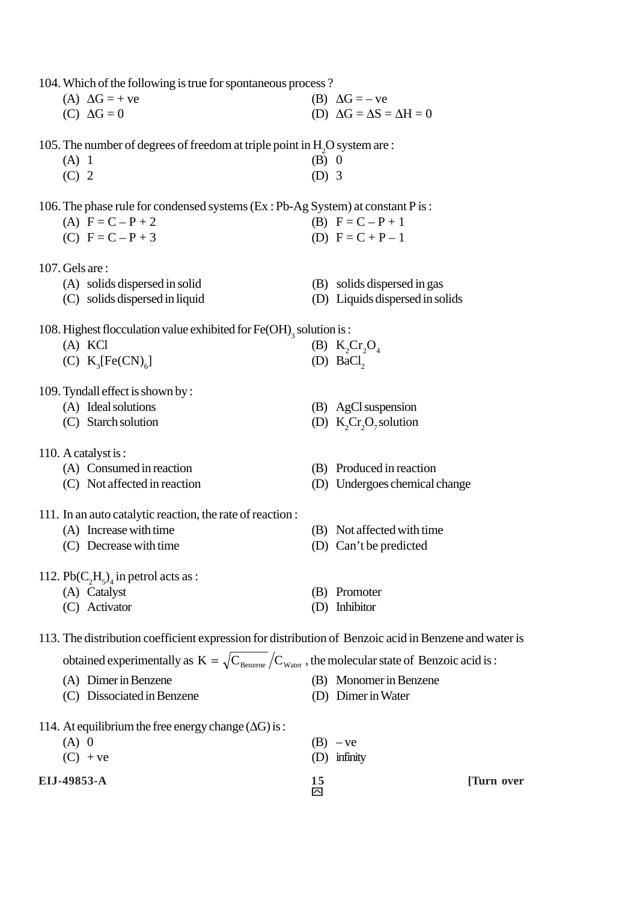104.Which of the following is true for spontaneous process ?

| (A) $\Delta G = +ve$ | (B) $\Delta G = -ve$                     |
|----------------------|------------------------------------------|
| $(C) \Delta G = 0$   | (D) $\Delta G = \Delta S = \Delta H = 0$ |

105. The number of degrees of freedom at triple point in  $H_2O$  system are:

- (A) 1 (B) 0  $(C)$  2 (D) 3
- 

|                     | 106. The phase rule for condensed systems (Ex: Pb-Ag System) at constant P is: |
|---------------------|--------------------------------------------------------------------------------|
| (A) $F = C - P + 2$ | (B) $F = C - P + 1$                                                            |
| (C) $F = C - P + 3$ | (D) $F = C + P - 1$                                                            |

107.Gels are :

| (A) solids dispersed in solid  | (B) solids dispersed in gas     |
|--------------------------------|---------------------------------|
| (C) solids dispersed in liquid | (D) Liquids dispersed in solids |

108. Highest flocculation value exhibited for  $\text{Fe(OH)}_3$  solution is :

| (A) KCl                                 | (B) $K_2Cr_2O_4$      |
|-----------------------------------------|-----------------------|
| (C) $K_{\alpha}$ [Fe(CN) <sub>6</sub> ] | (D) BaCl <sub>2</sub> |
|                                         |                       |

109. Tyndall effect is shown by :

| (A) Ideal solutions | (B) AgCl suspension             |
|---------------------|---------------------------------|
| (C) Starch solution | (D) $K_{2}Cr_{2}O_{7}$ solution |

- 110. A catalyst is :
	- (A) Consumed in reaction (B) Produced in reaction
	- (C) Not affected in reaction (D) Undergoes chemical change
- 111. In an auto catalytic reaction, the rate of reaction :
	- (A) Increase with time (B) Not affected with time
	- (C) Decrease with time (D) Can't be predicted

112.  $Pb(C_2H_5)$ <sub>4</sub> in petrol acts as :

- (A) Catalyst (B) Promoter
- (C) Activator (D) Inhibitor

#### 113. The distribution coefficient expression for distribution of Benzoic acid in Benzene and water is

| obtained experimentally as $K = \sqrt{C_{\text{Benzene}}}/C_{\text{Water}}$ , the molecular state of Benzoic acid is : |                        |
|------------------------------------------------------------------------------------------------------------------------|------------------------|
| (A) Dimer in Benzene                                                                                                   | (B) Monomer in Benzene |
| (C) Dissociated in Benzene                                                                                             | (D) Dimer in Water     |
| 114. At equilibrium the free energy change $(\Delta G)$ is:<br>$(A)$ 0<br>$(C) + ve$                                   | $(B) -ve$<br>infinity  |

**EIJ-49853-A** 15 [Turn over

 $\tilde{\mathsf{M}}$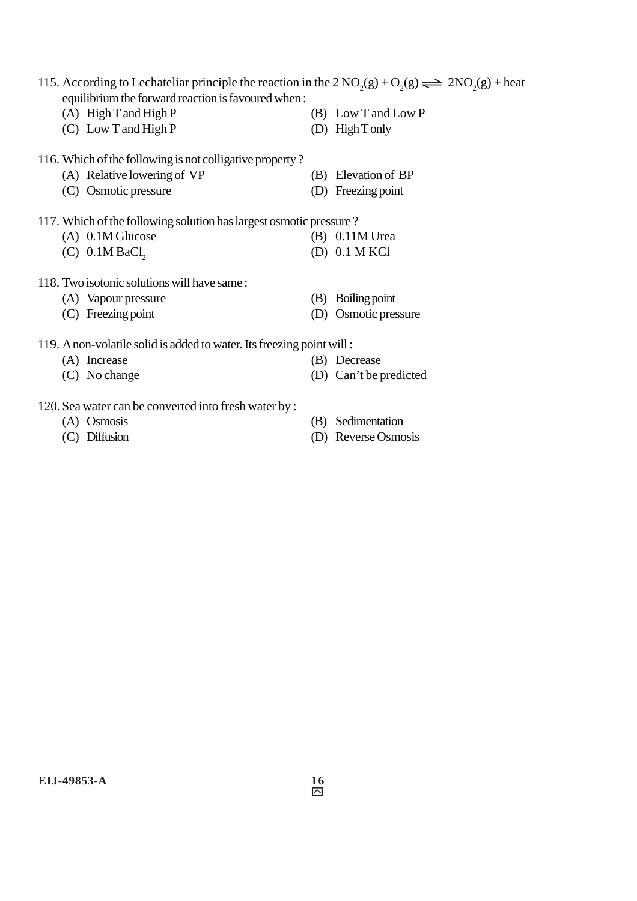| 115. According to Lechateliar principle the reaction in the $2\text{ NO}_2(g) + \text{O}_2(g) \rightleftharpoons 2\text{ NO}_2(g) + \text{heat}$<br>equilibrium the forward reaction is favoured when: |                        |  |  |  |  |
|--------------------------------------------------------------------------------------------------------------------------------------------------------------------------------------------------------|------------------------|--|--|--|--|
| $(A)$ High T and High P                                                                                                                                                                                | (B) Low T and Low P    |  |  |  |  |
| $(C)$ Low T and High P                                                                                                                                                                                 | (D) High T only        |  |  |  |  |
| 116. Which of the following is not colligative property?                                                                                                                                               |                        |  |  |  |  |
| (A) Relative lowering of VP                                                                                                                                                                            | Elevation of BP<br>(B) |  |  |  |  |
| (C) Osmotic pressure                                                                                                                                                                                   | Freezing point         |  |  |  |  |
| 117. Which of the following solution has largest osmotic pressure?                                                                                                                                     |                        |  |  |  |  |
| $(A)$ 0.1M Glucose                                                                                                                                                                                     | (B) 0.11M Urea         |  |  |  |  |
| $(C)$ 0.1M BaCl <sub>2</sub>                                                                                                                                                                           | $(D)$ 0.1 M KCl        |  |  |  |  |
| 118. Two isotonic solutions will have same:                                                                                                                                                            |                        |  |  |  |  |
| (A) Vapour pressure                                                                                                                                                                                    | Boiling point<br>(B)   |  |  |  |  |
| $(C)$ Freezing point                                                                                                                                                                                   | Osmotic pressure       |  |  |  |  |
| 119. A non-volatile solid is added to water. Its freezing point will:                                                                                                                                  |                        |  |  |  |  |
| (A) Increase                                                                                                                                                                                           | (B) Decrease           |  |  |  |  |
| No change                                                                                                                                                                                              | Can't be predicted     |  |  |  |  |
|                                                                                                                                                                                                        |                        |  |  |  |  |

- 120. Sea water can be converted into fresh water by :<br>(A) Osmosis
	-
	-
- 
- (A) Osmosis (B) Sedimentation (C) Diffusion (D) Reverse Osmo (D) Reverse Osmosis